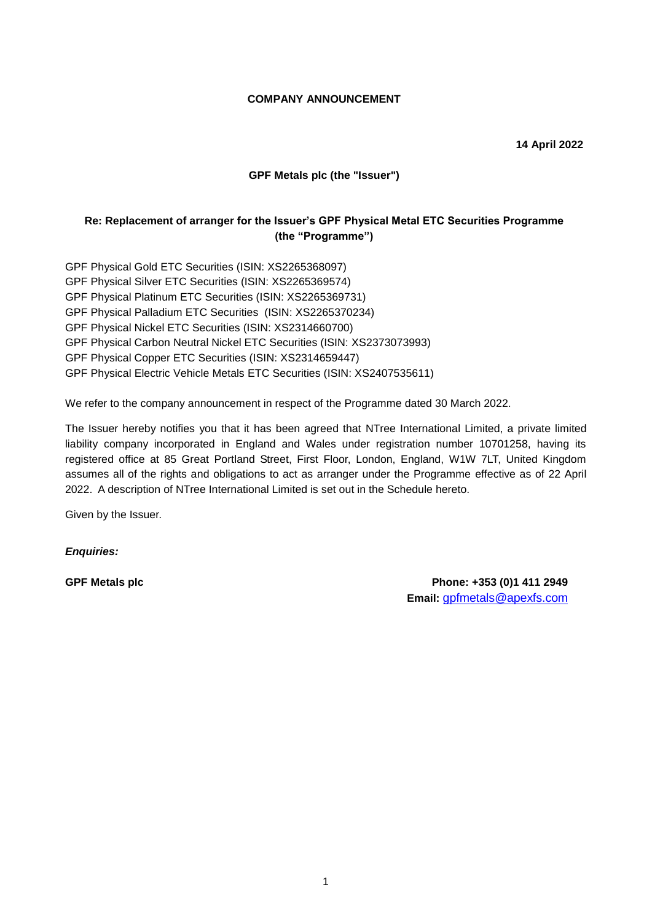### **COMPANY ANNOUNCEMENT**

**14 April 2022**

## **GPF Metals plc (the "Issuer")**

## **Re: Replacement of arranger for the Issuer's GPF Physical Metal ETC Securities Programme (the "Programme")**

GPF Physical Gold ETC Securities (ISIN: XS2265368097) GPF Physical Silver ETC Securities (ISIN: XS2265369574) GPF Physical Platinum ETC Securities (ISIN: XS2265369731) GPF Physical Palladium ETC Securities (ISIN: XS2265370234) GPF Physical Nickel ETC Securities (ISIN: XS2314660700) GPF Physical Carbon Neutral Nickel ETC Securities (ISIN: XS2373073993) GPF Physical Copper ETC Securities (ISIN: XS2314659447) GPF Physical Electric Vehicle Metals ETC Securities (ISIN: XS2407535611)

We refer to the company announcement in respect of the Programme dated 30 March 2022.

The Issuer hereby notifies you that it has been agreed that NTree International Limited, a private limited liability company incorporated in England and Wales under registration number 10701258, having its registered office at 85 Great Portland Street, First Floor, London, England, W1W 7LT, United Kingdom assumes all of the rights and obligations to act as arranger under the Programme effective as of 22 April 2022. A description of NTree International Limited is set out in the Schedule hereto.

Given by the Issuer.

*Enquiries:*

**GPF Metals plc Phone: +353 (0)1 411 2949 Email:** gpfmetals@apexfs.com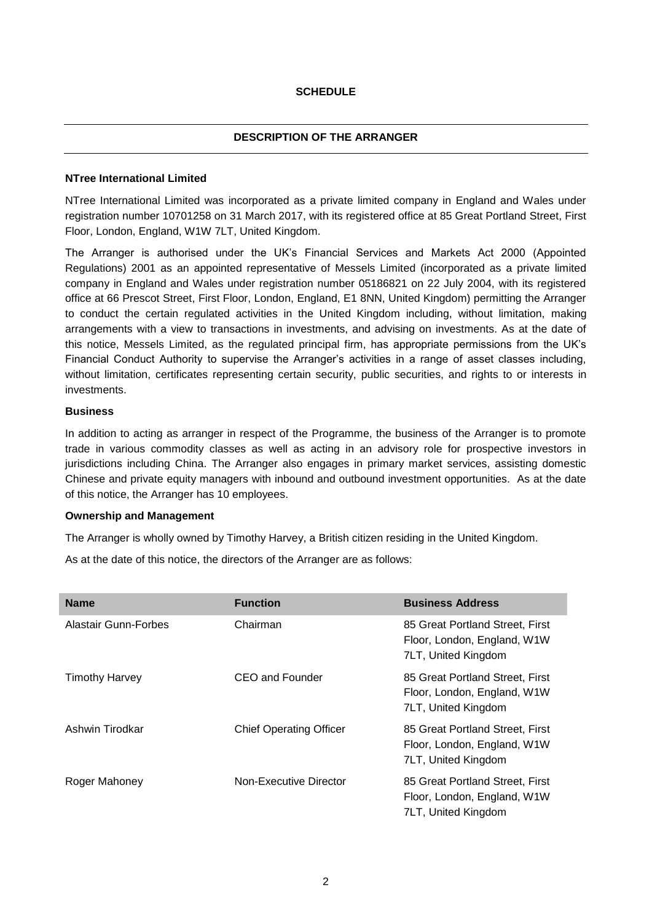## **SCHEDULE**

# **DESCRIPTION OF THE ARRANGER**

### **NTree International Limited**

NTree International Limited was incorporated as a private limited company in England and Wales under registration number 10701258 on 31 March 2017, with its registered office at 85 Great Portland Street, First Floor, London, England, W1W 7LT, United Kingdom.

The Arranger is authorised under the UK's Financial Services and Markets Act 2000 (Appointed Regulations) 2001 as an appointed representative of Messels Limited (incorporated as a private limited company in England and Wales under registration number 05186821 on 22 July 2004, with its registered office at 66 Prescot Street, First Floor, London, England, E1 8NN, United Kingdom) permitting the Arranger to conduct the certain regulated activities in the United Kingdom including, without limitation, making arrangements with a view to transactions in investments, and advising on investments. As at the date of this notice, Messels Limited, as the regulated principal firm, has appropriate permissions from the UK's Financial Conduct Authority to supervise the Arranger's activities in a range of asset classes including, without limitation, certificates representing certain security, public securities, and rights to or interests in investments.

### **Business**

In addition to acting as arranger in respect of the Programme, the business of the Arranger is to promote trade in various commodity classes as well as acting in an advisory role for prospective investors in jurisdictions including China. The Arranger also engages in primary market services, assisting domestic Chinese and private equity managers with inbound and outbound investment opportunities. As at the date of this notice, the Arranger has 10 employees.

## **Ownership and Management**

The Arranger is wholly owned by Timothy Harvey, a British citizen residing in the United Kingdom.

As at the date of this notice, the directors of the Arranger are as follows:

| <b>Name</b>                 | <b>Function</b>                | <b>Business Address</b>                                                               |
|-----------------------------|--------------------------------|---------------------------------------------------------------------------------------|
| <b>Alastair Gunn-Forbes</b> | Chairman                       | 85 Great Portland Street, First<br>Floor, London, England, W1W<br>7LT, United Kingdom |
| Timothy Harvey              | CEO and Founder                | 85 Great Portland Street, First<br>Floor, London, England, W1W<br>7LT, United Kingdom |
| Ashwin Tirodkar             | <b>Chief Operating Officer</b> | 85 Great Portland Street, First<br>Floor, London, England, W1W<br>7LT, United Kingdom |
| Roger Mahoney               | Non-Executive Director         | 85 Great Portland Street, First<br>Floor, London, England, W1W<br>7LT, United Kingdom |